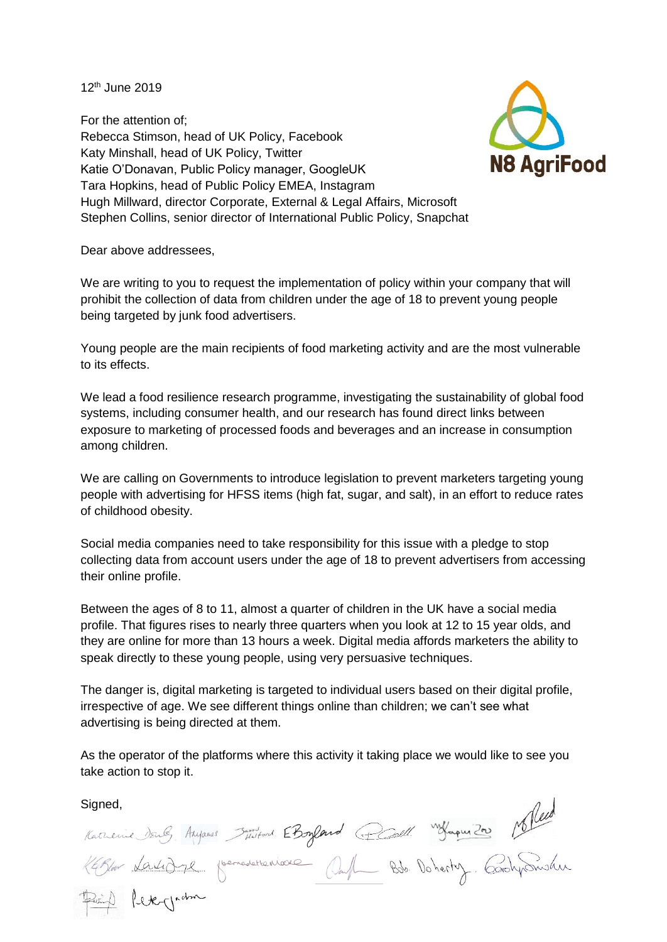12th June 2019

For the attention of; Rebecca Stimson, head of UK Policy, Facebook Katy Minshall, head of UK Policy, Twitter Katie O'Donavan, Public Policy manager, GoogleUK Tara Hopkins, head of Public Policy EMEA, Instagram Hugh Millward, director Corporate, External & Legal Affairs, Microsoft Stephen Collins, senior director of International Public Policy, Snapchat



Dear above addressees,

We are writing to you to request the implementation of policy within your company that will prohibit the collection of data from children under the age of 18 to prevent young people being targeted by junk food advertisers.

Young people are the main recipients of food marketing activity and are the most vulnerable to its effects.

We lead a food resilience research programme, investigating the sustainability of global food systems, including consumer health, and our research has found direct links between exposure to marketing of processed foods and beverages and an increase in consumption among children.

We are calling on Governments to introduce legislation to prevent marketers targeting young people with advertising for HFSS items (high fat, sugar, and salt), in an effort to reduce rates of childhood obesity.

Social media companies need to take responsibility for this issue with a pledge to stop collecting data from account users under the age of 18 to prevent advertisers from accessing their online profile.

Between the ages of 8 to 11, almost a quarter of children in the UK have a social media profile. That figures rises to nearly three quarters when you look at 12 to 15 year olds, and they are online for more than 13 hours a week. Digital media affords marketers the ability to speak directly to these young people, using very persuasive techniques.

The danger is, digital marketing is targeted to individual users based on their digital profile, irrespective of age. We see different things online than children; we can't see what advertising is being directed at them.

As the operator of the platforms where this activity it taking place we would like to see you take action to stop it.

Signed,<br>Karnenie Dang, Anyanes January EBogland (Dall. Janquila Maled)<br>Karlow <u>Kantigge</u> (Sernadettenieure Onfl. Bds. Doherty, CoronySnishu Reain) Retergation